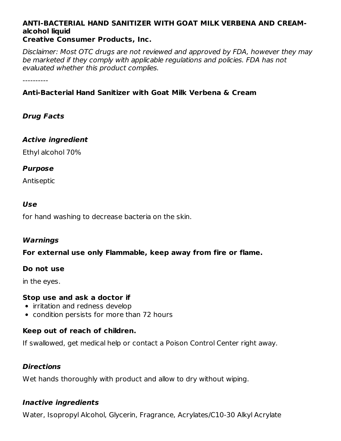#### **ANTI-BACTERIAL HAND SANITIZER WITH GOAT MILK VERBENA AND CREAMalcohol liquid Creative Consumer Products, Inc.**

Disclaimer: Most OTC drugs are not reviewed and approved by FDA, however they may be marketed if they comply with applicable regulations and policies. FDA has not evaluated whether this product complies.

----------

# **Anti-Bacterial Hand Sanitizer with Goat Milk Verbena & Cream**

## **Drug Facts**

### **Active ingredient**

Ethyl alcohol 70%

### **Purpose**

Antiseptic

### **Use**

for hand washing to decrease bacteria on the skin.

### **Warnings**

### **For external use only Flammable, keep away from fire or flame.**

### **Do not use**

in the eyes.

### **Stop use and ask a doctor if**

- irritation and redness develop
- condition persists for more than 72 hours

## **Keep out of reach of children.**

If swallowed, get medical help or contact a Poison Control Center right away.

### **Directions**

Wet hands thoroughly with product and allow to dry without wiping.

### **Inactive ingredients**

Water, Isopropyl Alcohol, Glycerin, Fragrance, Acrylates/C10-30 Alkyl Acrylate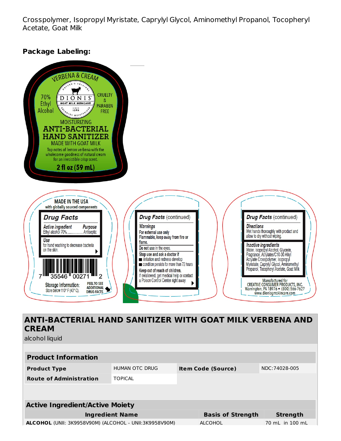Crosspolymer, Isopropyl Myristate, Caprylyl Glycol, Aminomethyl Propanol, Tocopheryl Acetate, Goat Milk

## **Package Labeling:**



**CREAM**

alcohol liquid

| <b>Product Information</b>                                    |                |  |                                            |                 |  |  |  |  |
|---------------------------------------------------------------|----------------|--|--------------------------------------------|-----------------|--|--|--|--|
| <b>Product Type</b>                                           | HUMAN OTC DRUG |  | NDC:74028-005<br><b>Item Code (Source)</b> |                 |  |  |  |  |
| <b>Route of Administration</b>                                | <b>TOPICAL</b> |  |                                            |                 |  |  |  |  |
|                                                               |                |  |                                            |                 |  |  |  |  |
|                                                               |                |  |                                            |                 |  |  |  |  |
| <b>Active Ingredient/Active Moiety</b>                        |                |  |                                            |                 |  |  |  |  |
| <b>Ingredient Name</b>                                        |                |  | <b>Basis of Strength</b>                   | <b>Strength</b> |  |  |  |  |
| <b>ALCOHOL</b> (UNII: 3K9958V90M) (ALCOHOL - UNII:3K9958V90M) |                |  | <b>ALCOHOL</b>                             | 70 mL in 100 mL |  |  |  |  |